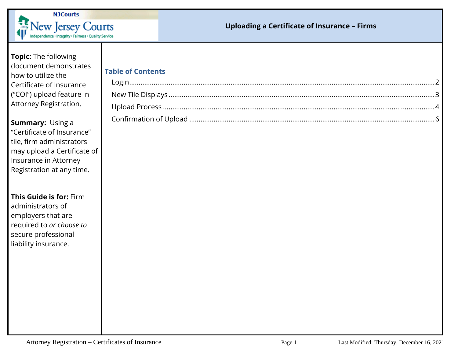

### **Uploading a Certificate of Insurance – Firms**

## **Topic:** The following document demonstrates how to utilize the Certificate of Insurance ("COI") upload feature in Attorney Registration.

**Summary:** Using a "Certificate of Insurance" tile, firm administrators may upload a Certificate of Insurance in Attorney Registration at any time.

#### **This Guide is for:** Firm administrators of

employers that are required to *or choose to* secure professional liability insurance.

| Table of Contents |  |
|-------------------|--|
|                   |  |
|                   |  |
|                   |  |
|                   |  |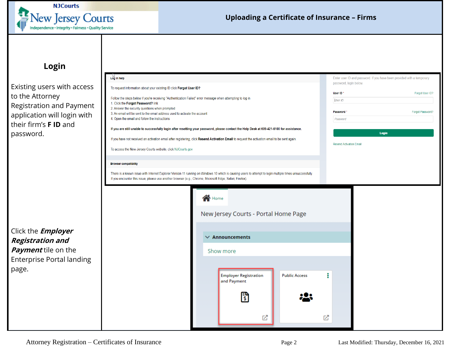

## **Login**

<span id="page-1-0"></span>Existing users with access to the Attorney Registration and Payment application will login with their firm's **F ID** and password.

| Log in help                                                                                                                                                                                                                                                          | Enter user ID and password. If you have been provided with a temporary<br>password, login below.                                                |                                |                  |
|----------------------------------------------------------------------------------------------------------------------------------------------------------------------------------------------------------------------------------------------------------------------|-------------------------------------------------------------------------------------------------------------------------------------------------|--------------------------------|------------------|
| To request information about your existing ID click Forgot User ID?<br>Follow the steps below if you're receiving "Authentication Failed" error message when attempting to log in                                                                                    |                                                                                                                                                 | User ID*<br>User ID            | Forgot User ID?  |
| 1. Click the Forgot Password? link<br>2. Answer the security questions when prompted<br>3. An email will be sent to the email address used to activate the account<br>4. Open the email and follow the instructions                                                  |                                                                                                                                                 | Password *<br>Password         | Forgot Password? |
|                                                                                                                                                                                                                                                                      | If you are still unable to successfully login after resetting your password, please contact the Help Desk at 609-421-6100 for assistance.       |                                | Login            |
|                                                                                                                                                                                                                                                                      | If you have not received an activation email after registering, click Resend Activation Email to request the activation email to be sent again. | <b>Resend Activation Email</b> |                  |
| To access the New Jersey Courts website, click NJCourts.gov                                                                                                                                                                                                          |                                                                                                                                                 |                                |                  |
| <b>Browser compatibility</b>                                                                                                                                                                                                                                         |                                                                                                                                                 |                                |                  |
| There is a known issue with Internet Explorer Version 11 running on Windows 10 which is causing users to attempt to login multiple times unsuccessfully.<br>If you encounter this issue, please use another browser (e.g., Chrome, Microsoft Edge, Safari, Firefox). |                                                                                                                                                 |                                |                  |
|                                                                                                                                                                                                                                                                      |                                                                                                                                                 |                                |                  |
|                                                                                                                                                                                                                                                                      | Show more                                                                                                                                       |                                |                  |
|                                                                                                                                                                                                                                                                      | <b>Employer Registration</b><br><b>Public Access</b><br>and Payment<br>ैं                                                                       | i                              |                  |
|                                                                                                                                                                                                                                                                      | 叼                                                                                                                                               | 叼                              |                  |

Enterprise Portal landing

Click the **Employer Registration and Payment** tile on the

page.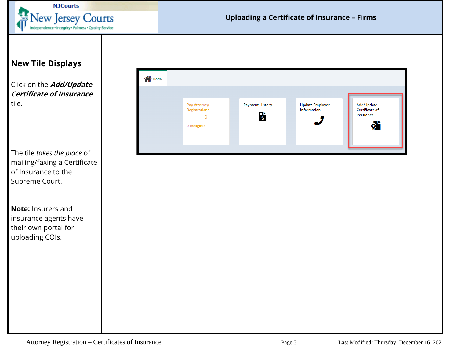

# <span id="page-2-0"></span>**New Tile Displays**

Click on the **Add/Update Certificate of Insurance** tile.

The tile *takes the place* of mailing/faxing a Certificate of Insurance to the Supreme Court.

**Note:** Insurers and insurance agents have their own portal for uploading COIs.

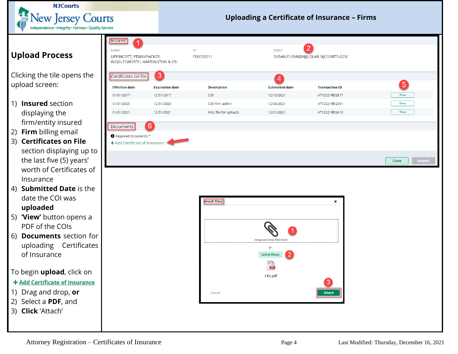

### **Uploading a Certificate of Insurance – Firms**

# <span id="page-3-0"></span>**Upload Process**

Clicking the tile opens the upload screen:

- 1) **Insured** section displaying the firm/entity insured
- 2) **Firm** billing email
- 3) **Certificates on File** section displaying up to the last five (5) years' worth of Certificates of Insurance
- 4) **Submitted Date** is the date the COI was **uploaded**
- 5) **'View'** button opens a PDF of the COIs
- 6) **Documents** section for uploading Certificates of Insurance

### To begin **upload**, click on

### + Add Certificate of Insurance

- 1) Drag and drop, **or**
- 2) Select a **PDF**, and
- 3) **Click** 'Attach'

| 10e                                                                                |                        |                                 |                                                                                              |                                                     |                 |
|------------------------------------------------------------------------------------|------------------------|---------------------------------|----------------------------------------------------------------------------------------------|-----------------------------------------------------|-----------------|
| Insured<br>1<br>Name<br>LIPPINCOTT, PENNYPACKER,<br>WIGGLESWORTH, HARRINGTON & CRI |                        | $\mathsf{ID}$<br>F00030011      | Email                                                                                        | $\overline{2}$<br>SUSAN.FLYNN@NJJUDLAB.NJCOURTS.GOV |                 |
| Certificates on file                                                               | $\left 3\right\rangle$ |                                 | $\overline{4}$                                                                               |                                                     |                 |
| <b>Effective date</b>                                                              | <b>Expiration date</b> | <b>Description</b>              | <b>Submitted date</b>                                                                        | <b>Transaction ID</b>                               | $\boxed{5}$     |
| 01/01/2017                                                                         | 12/31/2017             | COI                             | 12/13/2021                                                                                   | ATY2021REG517                                       | View            |
| 01/01/2020                                                                         | 12/31/2020             | COI Firm admin                  | 12/06/2021                                                                                   | ATY2021REG451                                       | <b>View</b>     |
| 01/01/2021                                                                         | 12/31/2021             | Misc file for uploads           | 12/01/2021                                                                                   | ATY2021REG413                                       | View            |
| Documents                                                                          | $6\phantom{1}6$        |                                 |                                                                                              |                                                     |                 |
| Required documents *                                                               |                        |                                 |                                                                                              |                                                     |                 |
| $\blacklozenge$ Add Certificate of Insurance                                       |                        |                                 |                                                                                              |                                                     |                 |
|                                                                                    |                        |                                 |                                                                                              |                                                     |                 |
|                                                                                    |                        |                                 |                                                                                              |                                                     | Submit<br>Close |
|                                                                                    |                        | <b>Attach file(s)</b><br>Cancel | <b>Drag and drop files here</b><br>or<br><b>Select file(s)</b><br>−<br><b>CDF</b><br>COI.pdf | ×<br>3<br><b>Attach</b>                             |                 |
|                                                                                    |                        |                                 |                                                                                              |                                                     |                 |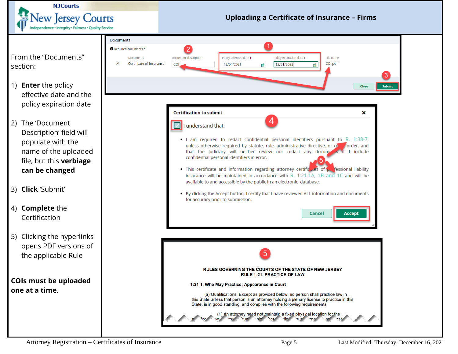